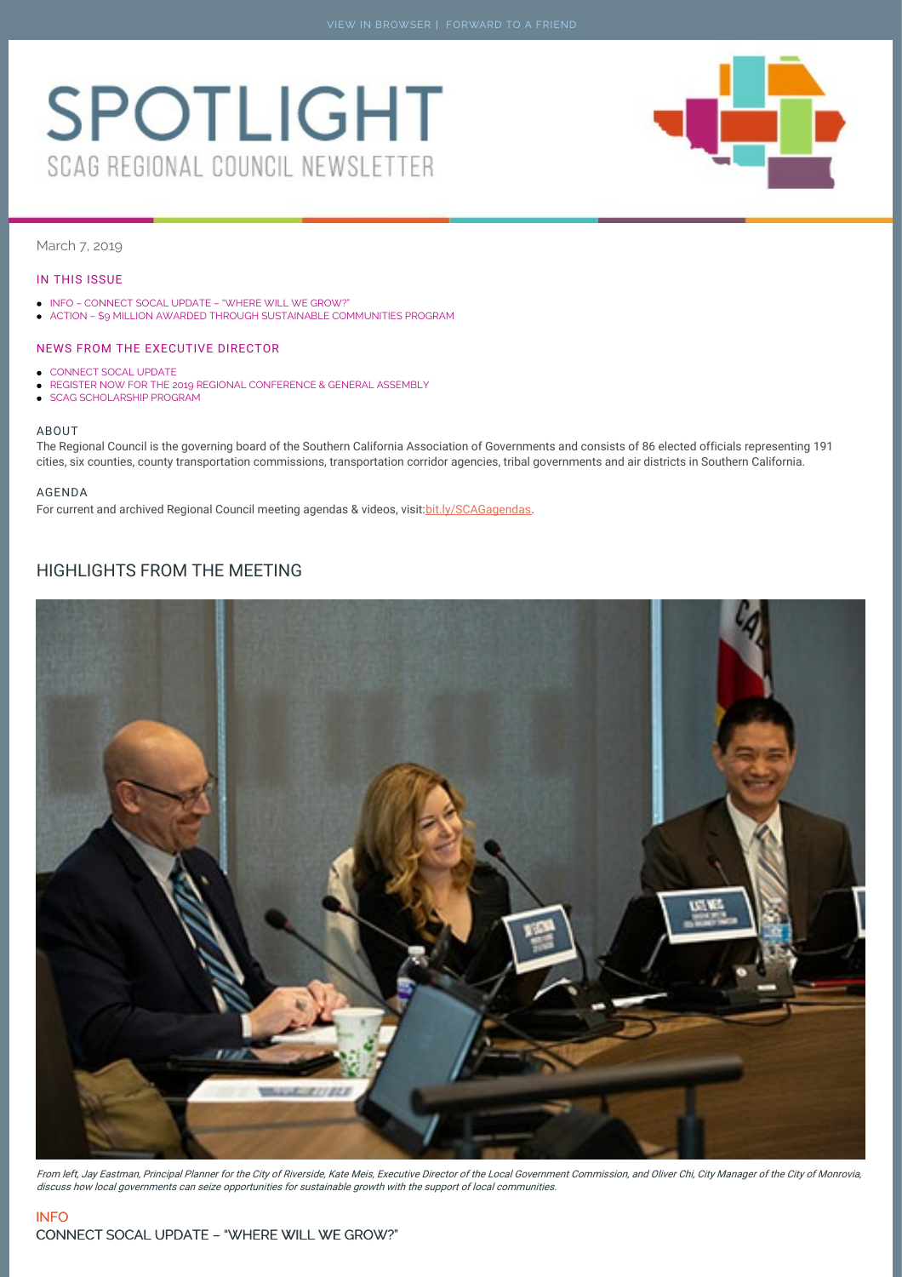# <span id="page-0-0"></span>**SPOTLIGHT** SCAG REGIONAL COUNCIL NEWSLETTER



# March 7, 2019

#### IN THIS ISSUE

- INFO [CONNECT](#page-0-0) SOCAL UPDATE "WHERE WILL WE GROW?"
- ACTION \$9 MILLION AWARDED THROUGH SUSTAINABLE [COMMUNITIES](#page-0-0) PROGRAM

#### NEWS FROM THE EXECUTIVE DIRECTOR

- [CONNECT](#page-2-0) SOCAL UPDATE  $\bullet$
- REGISTER NOW FOR THE 2019 REGIONAL [CONFERENCE](#page-2-1) & GENERAL ASSEMBLY
- SCAG [SCHOLARSHIP](#page-2-2) PROGRAM  $\bullet$

### ABOUT

The Regional Council is the governing board of the Southern California Association of Governments and consists of 86 elected officials representing 191 cities, six counties, county transportation commissions, transportation corridor agencies, tribal governments and air districts in Southern California.

#### AGENDA

For current and archived Regional Council meeting agendas & videos, visit: bit.ly/SCAGagendas.

# HIGHLIGHTS FROM THE MEETING



From left, Jay Eastman, Principal Planner for the City of Riverside, Kate Meis, Executive Director of the Local Government Commission, and Oliver Chi, City Manager of the City of Monrovia, discuss how local governments can seize opportunities for sustainable growth with the support of local communities.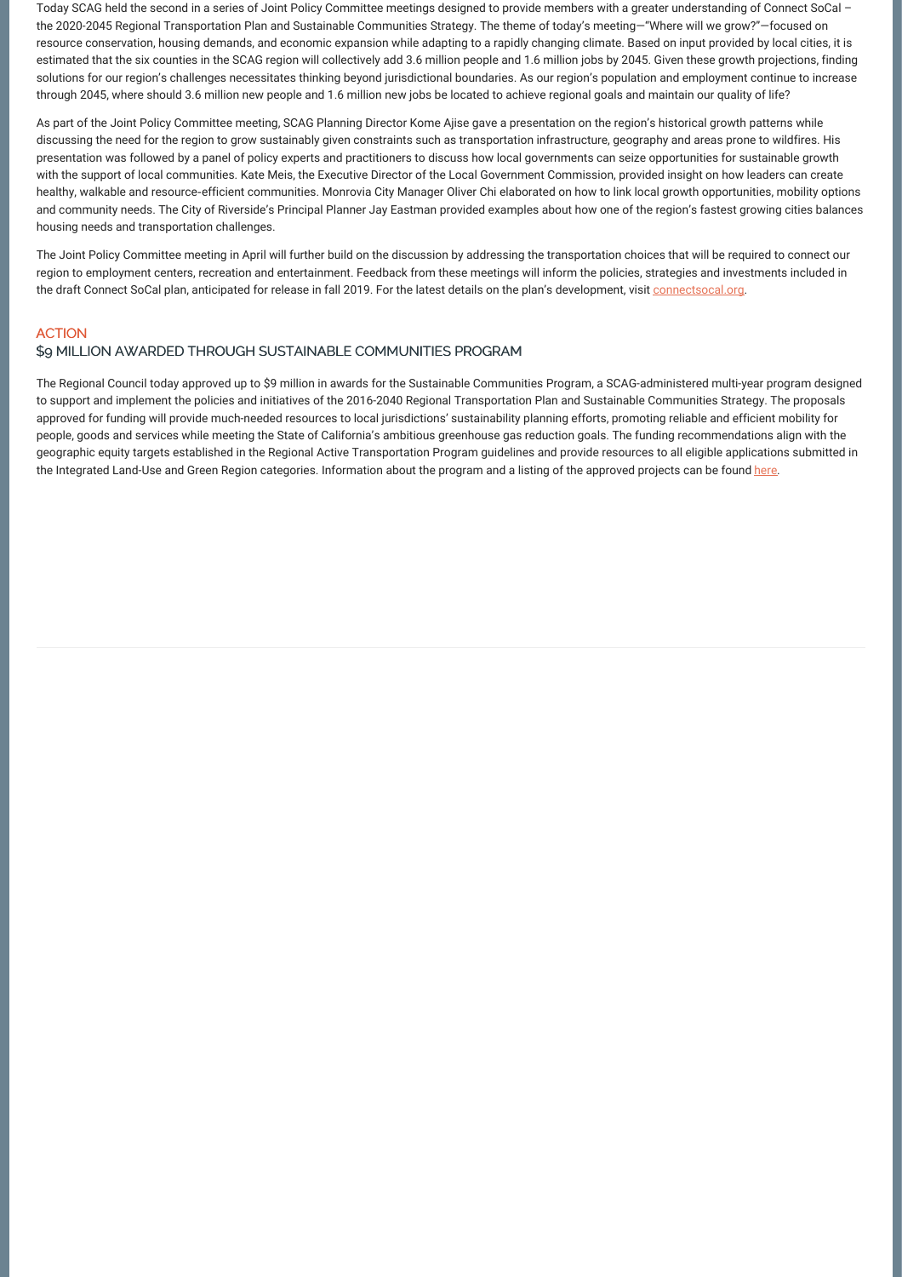Today SCAG held the second in a series of Joint Policy Committee meetings designed to provide members with a greater understanding of Connect SoCal the 2020-2045 Regional Transportation Plan and Sustainable Communities Strategy. The theme of today's meeting—"Where will we grow?"—focused on resource conservation, housing demands, and economic expansion while adapting to a rapidly changing climate. Based on input provided by local cities, it is estimated that the six counties in the SCAG region will collectively add 3.6 million people and 1.6 million jobs by 2045. Given these growth projections, finding solutions for our region's challenges necessitates thinking beyond jurisdictional boundaries. As our region's population and employment continue to increase through 2045, where should 3.6 million new people and 1.6 million new jobs be located to achieve regional goals and maintain our quality of life?

As part of the Joint Policy Committee meeting, SCAG Planning Director Kome Ajise gave a presentation on the region's historical growth patterns while discussing the need for the region to grow sustainably given constraints such as transportation infrastructure, geography and areas prone to wildfires. His presentation was followed by a panel of policy experts and practitioners to discuss how local governments can seize opportunities for sustainable growth with the support of local communities. Kate Meis, the Executive Director of the Local Government Commission, provided insight on how leaders can create healthy, walkable and resource-efficient communities. Monrovia City Manager Oliver Chi elaborated on how to link local growth opportunities, mobility options and community needs. The City of Riverside's Principal Planner Jay Eastman provided examples about how one of the region's fastest growing cities balances housing needs and transportation challenges.

The Joint Policy Committee meeting in April will further build on the discussion by addressing the transportation choices that will be required to connect our region to employment centers, recreation and entertainment. Feedback from these meetings will inform the policies, strategies and investments included in the draft Connect SoCal plan, anticipated for release in fall 2019. For the latest details on the plan's development, visit [connectsocal.org](http://connectsocal.org/Pages/default.aspx).

# **ACTION**

# \$9 MILLION AWARDED THROUGH SUSTAINABLE COMMUNITIES PROGRAM

The Regional Council today approved up to \$9 million in awards for the Sustainable Communities Program, a SCAG-administered multi-year program designed to support and implement the policies and initiatives of the 2016-2040 Regional Transportation Plan and Sustainable Communities Strategy. The proposals approved for funding will provide much-needed resources to local jurisdictions' sustainability planning efforts, promoting reliable and efficient mobility for people, goods and services while meeting the State of California's ambitious greenhouse gas reduction goals. The funding recommendations align with the geographic equity targets established in the Regional Active Transportation Program guidelines and provide resources to all eligible applications submitted in the Integrated Land-Use and Green Region categories. Information about the program and a listing of the approved projects can be found [here](http://bit.ly/2SLFGlr).